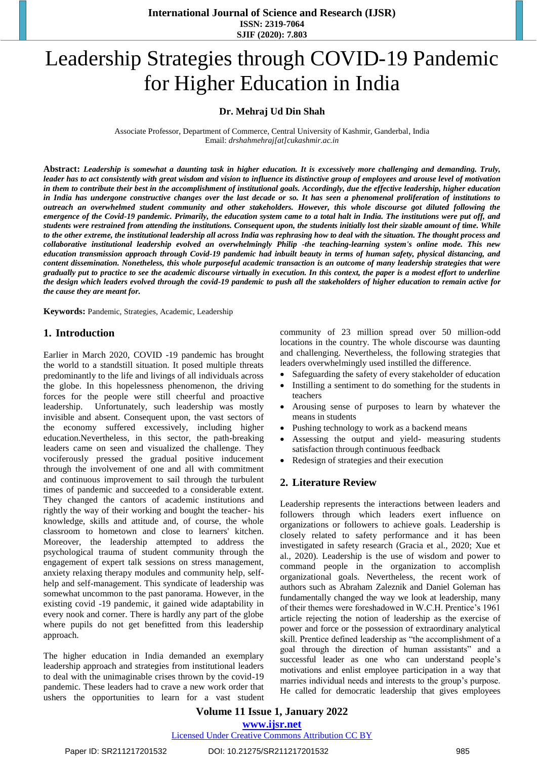**International Journal of Science and Research (IJSR) ISSN: 2319-7064 SJIF (2020): 7.803**

# Leadership Strategies through COVID-19 Pandemic for Higher Education in India

#### **Dr. Mehraj Ud Din Shah**

Associate Professor, Department of Commerce, Central University of Kashmir, Ganderbal, India Email: *drshahmehraj[at]cukashmir.ac.in*

**Abstract:** *Leadership is somewhat a daunting task in higher education. It is excessively more challenging and demanding. Truly, leader has to act consistently with great wisdom and vision to influence its distinctive group of employees and arouse level of motivation in them to contribute their best in the accomplishment of institutional goals. Accordingly, due the effective leadership, higher education in India has undergone constructive changes over the last decade or so. It has seen a phenomenal proliferation of institutions to outreach an overwhelmed student community and other stakeholders. However, this whole discourse got diluted following the emergence of the Covid-19 pandemic. Primarily, the education system came to a total halt in India. The institutions were put off, and students were restrained from attending the institutions. Consequent upon, the students initially lost their sizable amount of time. While to the other extreme, the institutional leadership all across India was rephrasing how to deal with the situation. The thought process and collaborative institutional leadership evolved an overwhelmingly Philip -the teaching-learning system's online mode. This new education transmission approach through Covid-19 pandemic had inbuilt beauty in terms of human safety, physical distancing, and content dissemination. Nonetheless, this whole purposeful academic transaction is an outcome of many leadership strategies that were gradually put to practice to see the academic discourse virtually in execution. In this context, the paper is a modest effort to underline the design which leaders evolved through the covid-19 pandemic to push all the stakeholders of higher education to remain active for the cause they are meant for.* 

**Keywords:** Pandemic, Strategies, Academic, Leadership

#### **1. Introduction**

Earlier in March 2020, COVID -19 pandemic has brought the world to a standstill situation. It posed multiple threats predominantly to the life and livings of all individuals across the globe. In this hopelessness phenomenon, the driving forces for the people were still cheerful and proactive leadership. Unfortunately, such leadership was mostly invisible and absent. Consequent upon, the vast sectors of the economy suffered excessively, including higher education.Nevertheless, in this sector, the path-breaking leaders came on seen and visualized the challenge. They vociferously pressed the gradual positive inducement through the involvement of one and all with commitment and continuous improvement to sail through the turbulent times of pandemic and succeeded to a considerable extent. They changed the cantors of academic institutions and rightly the way of their working and bought the teacher- his knowledge, skills and attitude and, of course, the whole classroom to hometown and close to learners' kitchen. Moreover, the leadership attempted to address the psychological trauma of student community through the engagement of expert talk sessions on stress management, anxiety relaxing therapy modules and community help, selfhelp and self-management. This syndicate of leadership was somewhat uncommon to the past panorama. However, in the existing covid -19 pandemic, it gained wide adaptability in every nook and corner. There is hardly any part of the globe where pupils do not get benefitted from this leadership approach.

The higher education in India demanded an exemplary leadership approach and strategies from institutional leaders to deal with the unimaginable crises thrown by the covid-19 pandemic. These leaders had to crave a new work order that ushers the opportunities to learn for a vast student community of 23 million spread over 50 million-odd locations in the country. The whole discourse was daunting and challenging. Nevertheless, the following strategies that leaders overwhelmingly used instilled the difference.

- Safeguarding the safety of every stakeholder of education
- Instilling a sentiment to do something for the students in teachers
- Arousing sense of purposes to learn by whatever the means in students
- Pushing technology to work as a backend means
- Assessing the output and yield- measuring students satisfaction through continuous feedback
- Redesign of strategies and their execution

## **2. Literature Review**

Leadership represents the interactions between leaders and followers through which leaders exert influence on organizations or followers to achieve goals. Leadership is closely related to safety performance and it has been investigated in safety research (Gracia et al., 2020; Xue et al., 2020). Leadership is the use of wisdom and power to command people in the organization to accomplish organizational goals. Nevertheless, the recent work of authors such as Abraham Zaleznik and Daniel Goleman has fundamentally changed the way we look at leadership, many of their themes were foreshadowed in W.C.H. Prentice's 1961 article rejecting the notion of leadership as the exercise of power and force or the possession of extraordinary analytical skill. Prentice defined leadership as "the accomplishment of a goal through the direction of human assistants" and a successful leader as one who can understand people's motivations and enlist employee participation in a way that marries individual needs and interests to the group's purpose. He called for democratic leadership that gives employees

**Volume 11 Issue 1, January 2022 www.ijsr.net**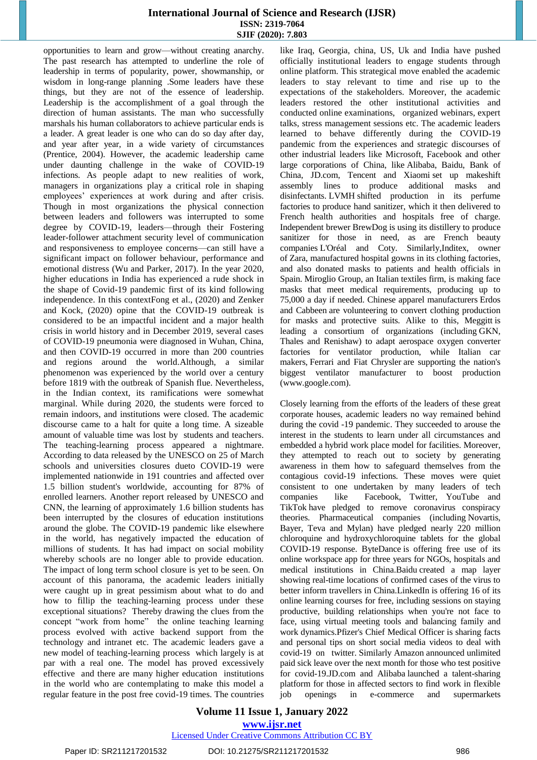#### **International Journal of Science and Research (IJSR) ISSN: 2319-7064 SJIF (2020): 7.803**

opportunities to learn and grow—without creating anarchy. The past research has attempted to underline the role of leadership in terms of popularity, power, showmanship, or wisdom in long-range planning .Some leaders have these things, but they are not of the essence of leadership. Leadership is the accomplishment of a goal through the direction of human assistants. The man who successfully marshals his human collaborators to achieve particular ends is a leader. A great leader is one who can do so day after day, and year after year, in a wide variety of circumstances (Prentice, 2004). However, the academic leadership came under daunting challenge in the wake of COVID-19 infections. As people adapt to new realities of work, managers in organizations play a critical role in shaping employees' experiences at work during and after crisis. Though in most organizations the physical connection between leaders and followers was interrupted to some degree by COVID-19, leaders—through their Fostering leader-follower attachment security level of communication and responsiveness to employee concerns—can still have a significant impact on follower behaviour, performance and emotional distress (Wu and Parker, 2017). In the year 2020, higher educations in India has experienced a rude shock in the shape of Covid-19 pandemic first of its kind following independence. In this contextFong et al., (2020) and Zenker and Kock, (2020) opine that the COVID-19 outbreak is considered to be an impactful incident and a major health crisis in world history and in December 2019, several cases of COVID-19 pneumonia were diagnosed in Wuhan, China, and then COVID-19 occurred in more than 200 countries and regions around the world.Although, a similar phenomenon was experienced by the world over a century before 1819 with the outbreak of Spanish flue. Nevertheless, in the Indian context, its ramifications were somewhat marginal. While during 2020, the students were forced to remain indoors, and institutions were closed. The academic discourse came to a halt for quite a long time. A sizeable amount of valuable time was lost by students and teachers. The teaching-learning process appeared a nightmare. According to data released by the UNESCO on 25 of March schools and universities closures dueto COVID-19 were implemented nationwide in 191 countries and affected over 1.5 billion student's worldwide, accounting for 87% of enrolled learners. Another report released by UNESCO and CNN, the learning of approximately 1.6 billion students has been interrupted by the closures of education institutions around the globe. The COVID-19 pandemic like elsewhere in the world, has negatively impacted the education of millions of students. It has had impact on social mobility whereby schools are no longer able to provide education. The impact of long term school closure is yet to be seen. On account of this panorama, the academic leaders initially were caught up in great pessimism about what to do and how to fillip the teaching-learning process under these exceptional situations? Thereby drawing the clues from the concept "work from home" the online teaching learning process evolved with active backend support from the technology and intranet etc. The academic leaders gave a new model of teaching-learning process which largely is at par with a real one. The model has proved excessively effective and there are many higher education institutions in the world who are contemplating to make this model a regular feature in the post free covid-19 times. The countries like Iraq, Georgia, china, US, Uk and India have pushed officially institutional leaders to engage students through online platform. This strategical move enabled the academic leaders to stay relevant to time and rise up to the expectations of the stakeholders. Moreover, the academic leaders restored the other institutional activities and conducted online examinations, organized webinars, expert talks, stress management sessions etc. The academic leaders learned to behave differently during the COVID-19 pandemic from the experiences and strategic discourses of other industrial leaders like Microsoft, Facebook and other large corporations of China, like Alibaba, Baidu, Bank of China, JD.com, Tencent and Xiaomi set up makeshift assembly lines to produce additional masks and disinfectants. LVMH shifted production in its perfume factories to produce hand sanitizer, which it then delivered to French health authorities and hospitals free of charge. Independent brewer BrewDog is using its distillery to produce sanitizer for those in need, as are French beauty companies L'Oréal and Coty. Similarly,Inditex, owner of Zara, manufactured hospital gowns in its clothing factories, and also donated masks to patients and health officials in Spain. Miroglio Group, an Italian textiles firm, is making face masks that meet medical requirements, producing up to 75,000 a day if needed. Chinese apparel manufacturers Erdos and Cabbeen are volunteering to convert clothing production for masks and protective suits. Alike to this, Meggitt is leading a consortium of organizations (including GKN, Thales and Renishaw) to adapt aerospace oxygen converter factories for ventilator production, while Italian car makers, Ferrari and Fiat Chrysler are supporting the nation's biggest ventilator manufacturer to boost production (www.google.com).

Closely learning from the efforts of the leaders of these great corporate houses, academic leaders no way remained behind during the covid -19 pandemic. They succeeded to arouse the interest in the students to learn under all circumstances and embedded a hybrid work place model for facilities. Moreover, they attempted to reach out to society by generating awareness in them how to safeguard themselves from the contagious covid-19 infections. These moves were quiet consistent to one undertaken by many leaders of tech companies like Facebook, Twitter, YouTube and TikTok have pledged to remove coronavirus conspiracy theories. Pharmaceutical companies (including Novartis, Bayer, Teva and Mylan) have pledged nearly 220 million chloroquine and hydroxychloroquine tablets for the global COVID-19 response. ByteDance is offering free use of its online workspace app for three years for NGOs, hospitals and medical institutions in China.Baidu created a map layer showing real-time locations of confirmed cases of the virus to better inform travellers in China.LinkedIn is offering 16 of its online learning courses for free, including sessions on staying productive, building relationships when you're not face to face, using virtual meeting tools and balancing family and work dynamics.Pfizer's Chief Medical Officer is sharing facts and personal tips on short social media videos to deal with covid-19 on twitter. Similarly Amazon announced unlimited paid sick leave over the next month for those who test positive for covid-19.JD.com and Alibaba launched a talent-sharing platform for those in affected sectors to find work in flexible job openings in e-commerce and supermarkets

#### **Volume 11 Issue 1, January 2022 www.ijsr.net**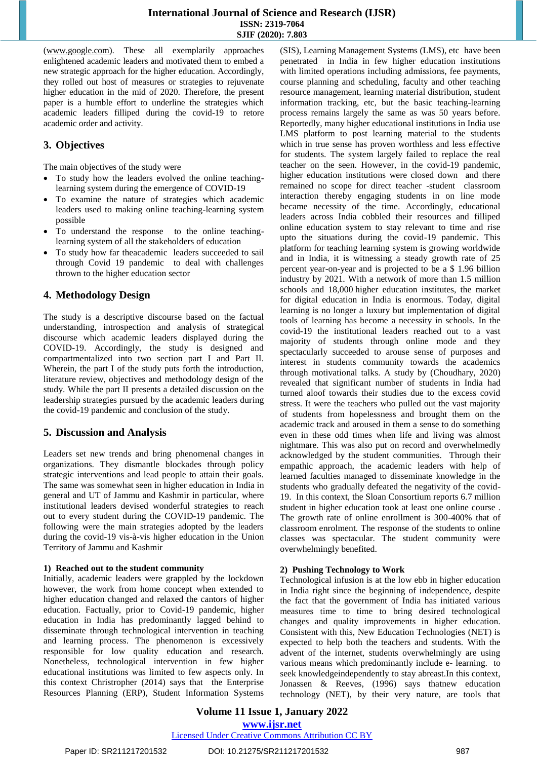[\(www.google.com\)](http://www.google.com/). These all exemplarily approaches enlightened academic leaders and motivated them to embed a new strategic approach for the higher education. Accordingly, they rolled out host of measures or strategies to rejuvenate higher education in the mid of 2020. Therefore, the present paper is a humble effort to underline the strategies which academic leaders filliped during the covid-19 to retore academic order and activity.

# **3. Objectives**

The main objectives of the study were

- To study how the leaders evolved the online teachinglearning system during the emergence of COVID-19
- To examine the nature of strategies which academic leaders used to making online teaching-learning system possible
- To understand the response to the online teachinglearning system of all the stakeholders of education
- To study how far theacademic leaders succeeded to sail through Covid 19 pandemic to deal with challenges thrown to the higher education sector

# **4. Methodology Design**

The study is a descriptive discourse based on the factual understanding, introspection and analysis of strategical discourse which academic leaders displayed during the COVID-19. Accordingly, the study is designed and compartmentalized into two section part I and Part II. Wherein, the part I of the study puts forth the introduction, literature review, objectives and methodology design of the study. While the part II presents a detailed discussion on the leadership strategies pursued by the academic leaders during the covid-19 pandemic and conclusion of the study.

# **5. Discussion and Analysis**

Leaders set new trends and bring phenomenal changes in organizations. They dismantle blockades through policy strategic interventions and lead people to attain their goals. The same was somewhat seen in higher education in India in general and UT of Jammu and Kashmir in particular, where institutional leaders devised wonderful strategies to reach out to every student during the COVID-19 pandemic. The following were the main strategies adopted by the leaders during the covid-19 vis-à-vis higher education in the Union Territory of Jammu and Kashmir

## **1) Reached out to the student community**

Initially, academic leaders were grappled by the lockdown however, the work from home concept when extended to higher education changed and relaxed the cantors of higher education. Factually, prior to Covid-19 pandemic, higher education in India has predominantly lagged behind to disseminate through technological intervention in teaching and learning process. The phenomenon is excessively responsible for low quality education and research. Nonetheless, technological intervention in few higher educational institutions was limited to few aspects only. In this context Christropher (2014) says that the Enterprise Resources Planning (ERP), Student Information Systems (SIS), Learning Management Systems (LMS), etc have been penetrated in India in few higher education institutions with limited operations including admissions, fee payments, course planning and scheduling, faculty and other teaching resource management, learning material distribution, student information tracking, etc, but the basic teaching-learning process remains largely the same as was 50 years before. Reportedly, many higher educational institutions in India use LMS platform to post learning material to the students which in true sense has proven worthless and less effective for students. The system largely failed to replace the real teacher on the seen. However, in the covid-19 pandemic, higher education institutions were closed down and there remained no scope for direct teacher -student classroom interaction thereby engaging students in on line mode became necessity of the time. Accordingly, educational leaders across India cobbled their resources and filliped online education system to stay relevant to time and rise upto the situations during the covid-19 pandemic. This platform for teaching learning system is growing worldwide and in India, it is witnessing a steady growth rate of 25 percent year-on-year and is projected to be a \$ 1.96 billion industry by 2021. With a network of more than 1.5 million schools and 18,000 higher education institutes, the market for digital education in India is enormous. Today, digital learning is no longer a luxury but implementation of digital tools of learning has become a necessity in schools. In the covid-19 the institutional leaders reached out to a vast majority of students through online mode and they spectacularly succeeded to arouse sense of purposes and interest in students community towards the academics through motivational talks. A study by (Choudhary, 2020) revealed that significant number of students in India had turned aloof towards their studies due to the excess covid stress. It were the teachers who pulled out the vast majority of students from hopelessness and brought them on the academic track and aroused in them a sense to do something even in these odd times when life and living was almost nightmare. This was also put on record and overwhelmedly acknowledged by the student communities. Through their empathic approach, the academic leaders with help of learned faculties managed to disseminate knowledge in the students who gradually defeated the negativity of the covid-19. In this context, the Sloan Consortium reports 6.7 million student in higher education took at least one online course . The growth rate of online enrollment is 300-400% that of classroom enrolment. The response of the students to online classes was spectacular. The student community were overwhelmingly benefited.

# **2) Pushing Technology to Work**

Technological infusion is at the low ebb in higher education in India right since the beginning of independence, despite the fact that the government of India has initiated various measures time to time to bring desired technological changes and quality improvements in higher education. Consistent with this, New Education Technologies (NET) is expected to help both the teachers and students. With the advent of the internet, students overwhelmingly are using various means which predominantly include e- learning. to seek knowledgeindependently to stay abreast.In this context, Jonassen & Reeves, (1996) says thatnew education technology (NET), by their very nature, are tools that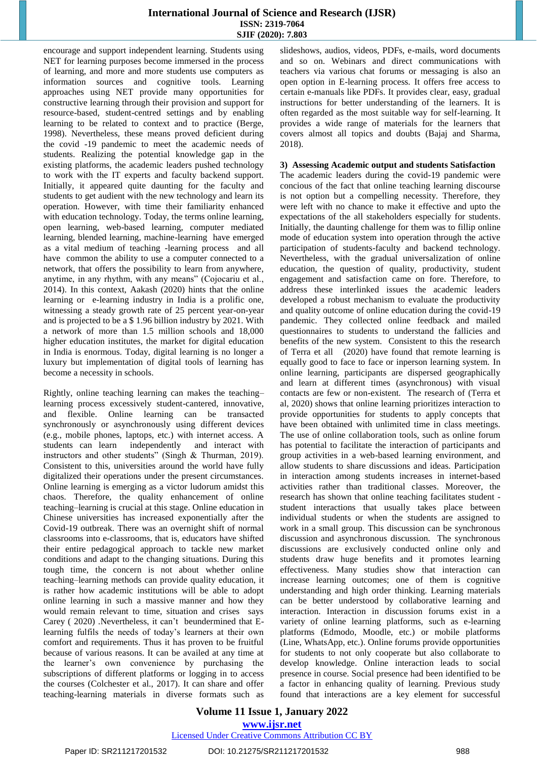## **International Journal of Science and Research (IJSR) ISSN: 2319-7064 SJIF (2020): 7.803**

encourage and support independent learning. Students using NET for learning purposes become immersed in the process of learning, and more and more students use computers as information sources and cognitive tools. Learning approaches using NET provide many opportunities for constructive learning through their provision and support for resource-based, student-centred settings and by enabling learning to be related to context and to practice (Berge, 1998). Nevertheless, these means proved deficient during the covid -19 pandemic to meet the academic needs of students. Realizing the potential knowledge gap in the existing platforms, the academic leaders pushed technology to work with the IT experts and faculty backend support. Initially, it appeared quite daunting for the faculty and students to get audient with the new technology and learn its operation. However, with time their familiarity enhanced with education technology. Today, the terms online learning, open learning, web-based learning, computer mediated learning, blended learning, machine-learning have emerged as a vital medium of teaching -learning process and all have common the ability to use a computer connected to a network, that offers the possibility to learn from anywhere, anytime, in any rhythm, with any means" (Cojocariu et al., 2014). In this context, Aakash (2020) hints that the online learning or e-learning industry in India is a prolific one, witnessing a steady growth rate of 25 percent year-on-year and is projected to be a \$ 1.96 billion industry by 2021. With a network of more than 1.5 million schools and 18,000 higher education institutes, the market for digital education in India is enormous. Today, digital learning is no longer a luxury but implementation of digital tools of learning has become a necessity in schools.

Rightly, online teaching learning can makes the teaching– learning process excessively student-cantered, innovative, and flexible. Online learning can be transacted synchronously or asynchronously using different devices (e.g., mobile phones, laptops, etc.) with internet access. A students can learn independently and interact with instructors and other students" (Singh & Thurman, 2019). Consistent to this, universities around the world have fully digitalized their operations under the present circumstances. Online learning is emerging as a victor ludorum amidst this chaos. Therefore, the quality enhancement of online teaching–learning is crucial at this stage. Online education in Chinese universities has increased exponentially after the Covid-19 outbreak. There was an overnight shift of normal classrooms into e-classrooms, that is, educators have shifted their entire pedagogical approach to tackle new market conditions and adapt to the changing situations. During this tough time, the concern is not about whether online teaching–learning methods can provide quality education, it is rather how academic institutions will be able to adopt online learning in such a massive manner and how they would remain relevant to time, situation and crises says Carey ( 2020) .Nevertheless, it can't beundermined that Elearning fulfils the needs of today's learners at their own comfort and requirements. Thus it has proven to be fruitful because of various reasons. It can be availed at any time at the learner's own convenience by purchasing the subscriptions of different platforms or logging in to access the courses (Colchester et al., 2017). It can share and offer teaching-learning materials in diverse formats such as slideshows, audios, videos, PDFs, e-mails, word documents and so on. Webinars and direct communications with teachers via various chat forums or messaging is also an open option in E-learning process. It offers free access to certain e-manuals like PDFs. It provides clear, easy, gradual instructions for better understanding of the learners. It is often regarded as the most suitable way for self-learning. It provides a wide range of materials for the learners that covers almost all topics and doubts (Bajaj and Sharma, 2018).

#### **3) Assessing Academic output and students Satisfaction**

The academic leaders during the covid-19 pandemic were concious of the fact that online teaching learning discourse is not option but a compelling necessity. Therefore, they were left with no chance to make it effective and upto the expectations of the all stakeholders especially for students. Initially, the daunting challenge for them was to fillip online mode of education system into operation through the active participation of students-faculty and backend technology. Nevertheless, with the gradual universalization of online education, the question of quality, productivity, student engagement and satisfaction came on fore. Therefore, to address these interlinked issues the academic leaders developed a robust mechanism to evaluate the productivity and quality outcome of online education during the covid-19 pandemic. They collected online feedback and mailed questionnaires to students to understand the fallicies and benefits of the new system. Consistent to this the research of Terra et all (2020) have found that remote learning is equally good to face to face or inperson learning system. In online learning, participants are dispersed geographically and learn at different times (asynchronous) with visual contacts are few or non-existent. The research of (Terra et al, 2020) shows that online learning prioritizes interaction to provide opportunities for students to apply concepts that have been obtained with unlimited time in class meetings. The use of online collaboration tools, such as online forum has potential to facilitate the interaction of participants and group activities in a web-based learning environment, and allow students to share discussions and ideas. Participation in interaction among students increases in internet-based activities rather than traditional classes. Moreover, the research has shown that online teaching facilitates student student interactions that usually takes place between individual students or when the students are assigned to work in a small group. This discussion can be synchronous discussion and asynchronous discussion. The synchronous discussions are exclusively conducted online only and students draw huge benefits and it promotes learning effectiveness. Many studies show that interaction can increase learning outcomes; one of them is cognitive understanding and high order thinking. Learning materials can be better understood by collaborative learning and interaction. Interaction in discussion forums exist in a variety of online learning platforms, such as e-learning platforms (Edmodo, Moodle, etc.) or mobile platforms (Line, WhatsApp, etc.). Online forums provide opportunities for students to not only cooperate but also collaborate to develop knowledge. Online interaction leads to social presence in course. Social presence had been identified to be a factor in enhancing quality of learning. Previous study found that interactions are a key element for successful

## **Volume 11 Issue 1, January 2022 www.ijsr.net**